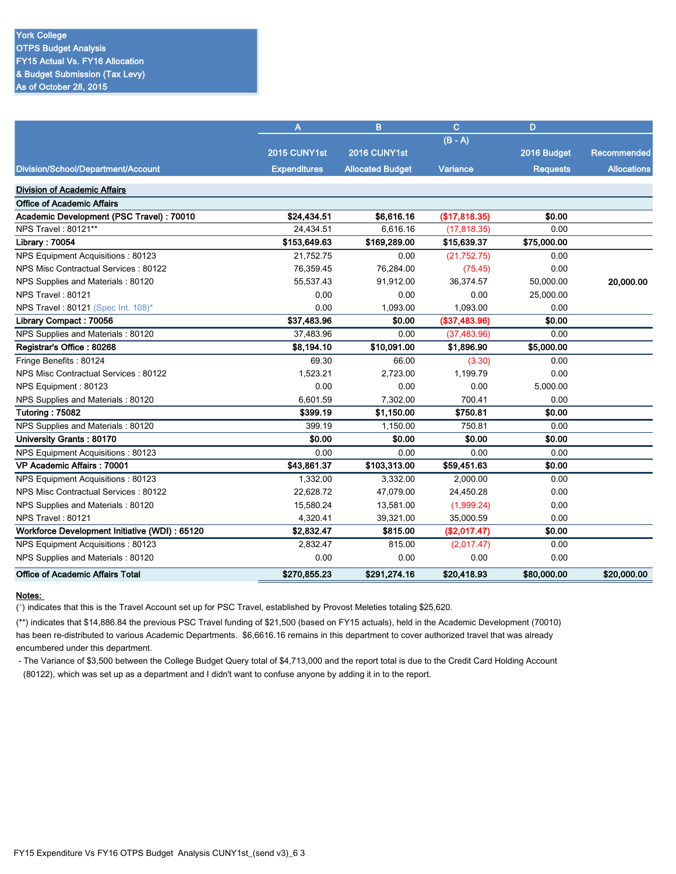|                                                | A                   | B                       | $\mathbf C$   | D               |                    |
|------------------------------------------------|---------------------|-------------------------|---------------|-----------------|--------------------|
|                                                |                     |                         | $(B - A)$     |                 |                    |
|                                                | 2015 CUNY1st        | 2016 CUNY1st            |               | 2016 Budget     | <b>Recommended</b> |
| Division/School/Department/Account             | <b>Expenditures</b> | <b>Allocated Budget</b> | Variance      | <b>Requests</b> | <b>Allocations</b> |
| <b>Division of Academic Affairs</b>            |                     |                         |               |                 |                    |
| <b>Office of Academic Affairs</b>              |                     |                         |               |                 |                    |
| Academic Development (PSC Travel) : 70010      | \$24,434.51         | \$6,616.16              | (\$17,818.35) | \$0.00          |                    |
| NPS Travel: 80121**                            | 24,434.51           | 6,616.16                | (17, 818.35)  | 0.00            |                    |
| Library: 70054                                 | \$153,649.63        | \$169,289.00            | \$15,639.37   | \$75,000.00     |                    |
| NPS Equipment Acquisitions: 80123              | 21,752.75           | 0.00                    | (21,752.75)   | 0.00            |                    |
| NPS Misc Contractual Services: 80122           | 76,359.45           | 76,284.00               | (75.45)       | 0.00            |                    |
| NPS Supplies and Materials: 80120              | 55,537.43           | 91,912.00               | 36,374.57     | 50,000.00       | 20,000.00          |
| NPS Travel: 80121                              | 0.00                | 0.00                    | 0.00          | 25,000.00       |                    |
| NPS Travel: 80121 (Spec Int. 108)*             | 0.00                | 1,093.00                | 1,093.00      | 0.00            |                    |
| Library Compact: 70056                         | \$37,483.96         | \$0.00                  | (\$37,483.96) | \$0.00          |                    |
| NPS Supplies and Materials: 80120              | 37.483.96           | 0.00                    | (37, 483.96)  | 0.00            |                    |
| Registrar's Office: 80268                      | \$8,194.10          | \$10,091.00             | \$1,896.90    | \$5,000.00      |                    |
| Fringe Benefits: 80124                         | 69.30               | 66.00                   | (3.30)        | 0.00            |                    |
| NPS Misc Contractual Services: 80122           | 1,523.21            | 2,723.00                | 1,199.79      | 0.00            |                    |
| NPS Equipment: 80123                           | 0.00                | 0.00                    | 0.00          | 5,000.00        |                    |
| NPS Supplies and Materials: 80120              | 6,601.59            | 7,302.00                | 700.41        | 0.00            |                    |
| Tutoring: 75082                                | \$399.19            | \$1,150.00              | \$750.81      | \$0.00          |                    |
| NPS Supplies and Materials: 80120              | 399.19              | 1,150.00                | 750.81        | 0.00            |                    |
| University Grants: 80170                       | \$0.00              | \$0.00                  | \$0.00        | \$0.00          |                    |
| NPS Equipment Acquisitions: 80123              | 0.00                | 0.00                    | 0.00          | 0.00            |                    |
| VP Academic Affairs: 70001                     | \$43,861.37         | \$103,313.00            | \$59,451.63   | \$0.00          |                    |
| NPS Equipment Acquisitions: 80123              | 1,332.00            | 3,332.00                | 2,000.00      | 0.00            |                    |
| NPS Misc Contractual Services: 80122           | 22,628.72           | 47,079.00               | 24,450.28     | 0.00            |                    |
| NPS Supplies and Materials: 80120              | 15,580.24           | 13,581.00               | (1,999.24)    | 0.00            |                    |
| NPS Travel: 80121                              | 4,320.41            | 39,321.00               | 35,000.59     | 0.00            |                    |
| Workforce Development Initiative (WDI) : 65120 | \$2,832.47          | \$815.00                | (\$2,017.47)  | \$0.00          |                    |
| NPS Equipment Acquisitions: 80123              | 2,832.47            | 815.00                  | (2,017.47)    | 0.00            |                    |
| NPS Supplies and Materials: 80120              | 0.00                | 0.00                    | 0.00          | 0.00            |                    |
| <b>Office of Academic Affairs Total</b>        | \$270,855.23        | \$291,274.16            | \$20,418.93   | \$80,000.00     | \$20,000.00        |

(\*) indicates that this is the Travel Account set up for PSC Travel, established by Provost Meleties totaling \$25,620.

(\*\*) indicates that \$14,886.84 the previous PSC Travel funding of \$21,500 (based on FY15 actuals), held in the Academic Development (70010) has been re-distributed to various Academic Departments. \$6,6616.16 remains in this department to cover authorized travel that was already encumbered under this department.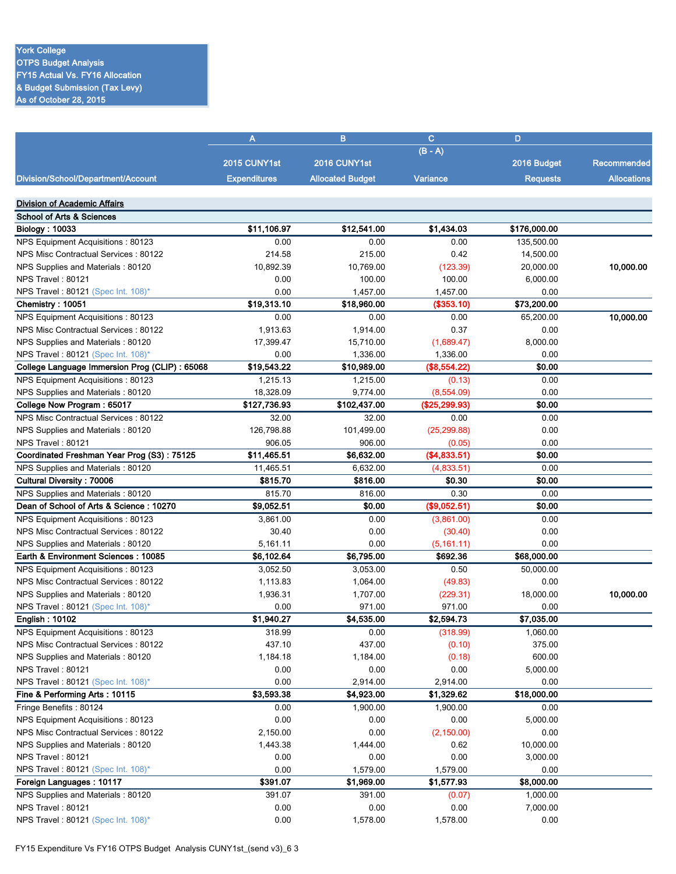## York College

**OTPS Budget Analysis** FY15 Actual Vs. FY16 Allocation & Budget Submission (Tax Levy) As of October 28, 2015

|                                                | A                   | B                       | $\mathbf{C}$  | D               |                    |
|------------------------------------------------|---------------------|-------------------------|---------------|-----------------|--------------------|
|                                                |                     |                         | $(B - A)$     |                 |                    |
|                                                | 2015 CUNY1st        | 2016 CUNY1st            |               | 2016 Budget     | Recommended        |
| Division/School/Department/Account             | <b>Expenditures</b> | <b>Allocated Budget</b> | Variance      | <b>Requests</b> | <b>Allocations</b> |
|                                                |                     |                         |               |                 |                    |
| <b>Division of Academic Affairs</b>            |                     |                         |               |                 |                    |
| <b>School of Arts &amp; Sciences</b>           |                     |                         |               |                 |                    |
| <b>Biology: 10033</b>                          | \$11,106.97         | \$12,541.00             | \$1,434.03    | \$176,000.00    |                    |
| NPS Equipment Acquisitions: 80123              | 0.00                | 0.00                    | 0.00          | 135,500.00      |                    |
| NPS Misc Contractual Services: 80122           | 214.58              | 215.00                  | 0.42          | 14,500.00       |                    |
| NPS Supplies and Materials: 80120              | 10,892.39           | 10,769.00               | (123.39)      | 20,000.00       | 10,000.00          |
| NPS Travel: 80121                              | 0.00                | 100.00                  | 100.00        | 6,000.00        |                    |
| NPS Travel: 80121 (Spec Int. 108)*             | 0.00                | 1,457.00                | 1,457.00      | 0.00            |                    |
| Chemistry: 10051                               | \$19,313.10         | \$18,960.00             | (\$353.10)    | \$73,200.00     |                    |
| NPS Equipment Acquisitions: 80123              | 0.00                | 0.00                    | 0.00          | 65,200.00       | 10,000.00          |
| NPS Misc Contractual Services: 80122           | 1,913.63            | 1,914.00                | 0.37          | 0.00            |                    |
| NPS Supplies and Materials: 80120              | 17,399.47           | 15,710.00               | (1,689.47)    | 8,000.00        |                    |
| NPS Travel: 80121 (Spec Int. 108)*             | 0.00                | 1,336.00                | 1,336.00      | 0.00            |                    |
| College Language Immersion Prog (CLIP) : 65068 | \$19,543.22         | \$10,989.00             | (\$8,554.22)  | \$0.00          |                    |
| NPS Equipment Acquisitions: 80123              | 1,215.13            | 1,215.00                | (0.13)        | 0.00            |                    |
| NPS Supplies and Materials: 80120              | 18,328.09           | 9,774.00                | (8,554.09)    | 0.00            |                    |
| College Now Program: 65017                     | \$127,736.93        | \$102,437.00            | (\$25,299.93) | \$0.00          |                    |
| NPS Misc Contractual Services: 80122           | 32.00               | 32.00                   | 0.00          | 0.00            |                    |
| NPS Supplies and Materials: 80120              | 126,798.88          | 101,499.00              | (25, 299.88)  | 0.00            |                    |
| <b>NPS Travel: 80121</b>                       | 906.05              | 906.00                  | (0.05)        | 0.00            |                    |
| Coordinated Freshman Year Prog (S3): 75125     | \$11,465.51         | \$6,632.00              | (\$4,833.51)  | \$0.00          |                    |
| NPS Supplies and Materials: 80120              | 11,465.51           | 6,632.00                | (4,833.51)    | 0.00            |                    |
| <b>Cultural Diversity: 70006</b>               | \$815.70            | \$816.00                | \$0.30        | \$0.00          |                    |
| NPS Supplies and Materials: 80120              | 815.70              | 816.00                  | 0.30          | 0.00            |                    |
| Dean of School of Arts & Science: 10270        | \$9,052.51          | \$0.00                  | (\$9,052.51)  | \$0.00          |                    |
| NPS Equipment Acquisitions: 80123              | 3,861.00            | 0.00                    | (3,861.00)    | 0.00            |                    |
| NPS Misc Contractual Services: 80122           | 30.40               | 0.00                    | (30.40)       | 0.00            |                    |
| NPS Supplies and Materials: 80120              | 5,161.11            | 0.00                    | (5, 161.11)   | 0.00            |                    |
| Earth & Environment Sciences: 10085            | \$6,102.64          | \$6,795.00              | \$692.36      | \$68,000.00     |                    |
| NPS Equipment Acquisitions: 80123              | 3,052.50            | 3,053.00                | 0.50          | 50,000.00       |                    |
| NPS Misc Contractual Services: 80122           | 1,113.83            | 1,064.00                | (49.83)       | 0.00            |                    |
| NPS Supplies and Materials: 80120              | 1,936.31            | 1,707.00                | (229.31)      | 18,000.00       | 10,000.00          |
| NPS Travel: 80121 (Spec Int. 108)*             | 0.00                | 971.00                  | 971.00        | 0.00            |                    |
| <b>English: 10102</b>                          | \$1,940.27          | \$4,535.00              | \$2,594.73    | \$7,035.00      |                    |
| NPS Equipment Acquisitions: 80123              | 318.99              | 0.00                    | (318.99)      | 1,060.00        |                    |
| NPS Misc Contractual Services: 80122           | 437.10              | 437.00                  | (0.10)        | 375.00          |                    |
| NPS Supplies and Materials: 80120              | 1,184.18            | 1,184.00                | (0.18)        | 600.00          |                    |
| NPS Travel: 80121                              | 0.00                | 0.00                    | 0.00          | 5,000.00        |                    |
| NPS Travel: 80121 (Spec Int. 108)*             | 0.00                | 2,914.00                | 2,914.00      | 0.00            |                    |
| Fine & Performing Arts: 10115                  | \$3,593.38          | \$4,923.00              | \$1,329.62    | \$18,000.00     |                    |
| Fringe Benefits: 80124                         | 0.00                | 1,900.00                | 1,900.00      | 0.00            |                    |
| NPS Equipment Acquisitions: 80123              | 0.00                | 0.00                    | 0.00          | 5,000.00        |                    |
| NPS Misc Contractual Services : 80122          | 2,150.00            | 0.00                    | (2, 150.00)   | 0.00            |                    |
| NPS Supplies and Materials: 80120              | 1,443.38            | 1,444.00                | 0.62          | 10,000.00       |                    |
| NPS Travel: 80121                              | 0.00                | 0.00                    | 0.00          | 3,000.00        |                    |
| NPS Travel: 80121 (Spec Int. 108)*             | 0.00                | 1,579.00                | 1,579.00      | 0.00            |                    |
| Foreign Languages: 10117                       | \$391.07            | \$1,969.00              | \$1,577.93    | \$8,000.00      |                    |
| NPS Supplies and Materials: 80120              | 391.07              | 391.00                  | (0.07)        | 1,000.00        |                    |
| NPS Travel: 80121                              | 0.00                | 0.00                    | 0.00          | 7,000.00        |                    |
| NPS Travel: 80121 (Spec Int. 108)*             | 0.00                | 1,578.00                | 1,578.00      | 0.00            |                    |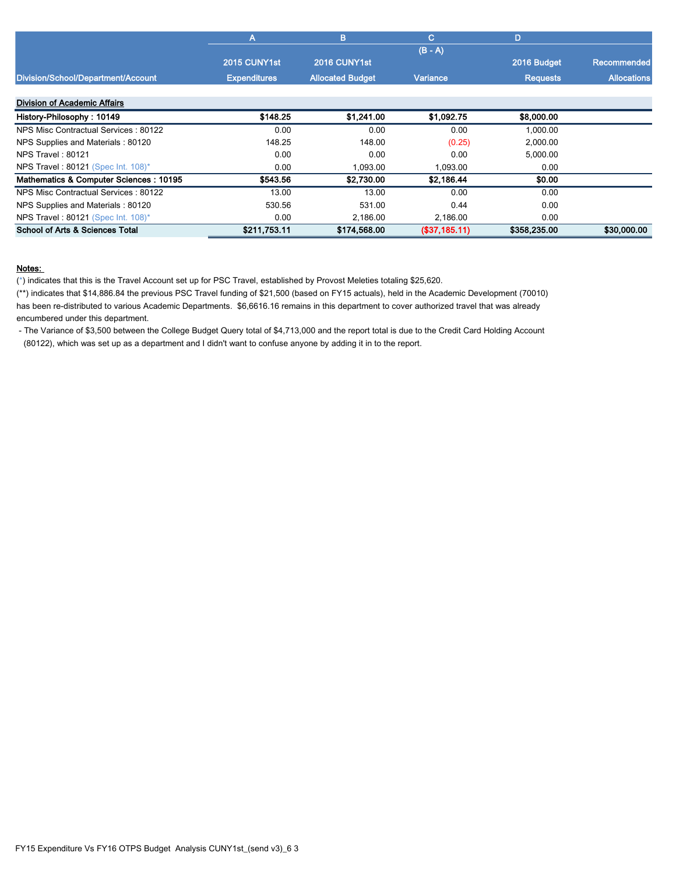|                                        | A                   | в                       | C.            | D               |                    |
|----------------------------------------|---------------------|-------------------------|---------------|-----------------|--------------------|
|                                        |                     |                         |               |                 |                    |
|                                        | 2015 CUNY1st        | 2016 CUNY1st            |               | 2016 Budget     | Recommended        |
| Division/School/Department/Account     | <b>Expenditures</b> | <b>Allocated Budget</b> | Variance      | <b>Requests</b> | <b>Allocations</b> |
| <b>Division of Academic Affairs</b>    |                     |                         |               |                 |                    |
| History-Philosophy: 10149              | \$148.25            | \$1,241.00              | \$1,092.75    | \$8,000.00      |                    |
| NPS Misc Contractual Services: 80122   | 0.00                | 0.00                    | 0.00          | 1,000.00        |                    |
| NPS Supplies and Materials: 80120      | 148.25              | 148.00                  | (0.25)        | 2,000.00        |                    |
| <b>NPS Travel: 80121</b>               | 0.00                | 0.00                    | 0.00          | 5,000.00        |                    |
| NPS Travel: 80121 (Spec Int. 108)*     | 0.00                | 1,093.00                | 1,093.00      | 0.00            |                    |
| Mathematics & Computer Sciences: 10195 | \$543.56            | \$2,730.00              | \$2,186.44    | \$0.00          |                    |
| NPS Misc Contractual Services: 80122   | 13.00               | 13.00                   | 0.00          | 0.00            |                    |
| NPS Supplies and Materials: 80120      | 530.56              | 531.00                  | 0.44          | 0.00            |                    |
| NPS Travel: 80121 (Spec Int. 108)*     | 0.00                | 2,186.00                | 2,186.00      | 0.00            |                    |
| School of Arts & Sciences Total        | \$211,753.11        | \$174,568.00            | (\$37,185.11) | \$358,235.00    | \$30,000.00        |

(\*) indicates that this is the Travel Account set up for PSC Travel, established by Provost Meleties totaling \$25,620.

(\*\*) indicates that \$14,886.84 the previous PSC Travel funding of \$21,500 (based on FY15 actuals), held in the Academic Development (70010) has been re-distributed to various Academic Departments. \$6,6616.16 remains in this department to cover authorized travel that was already encumbered under this department.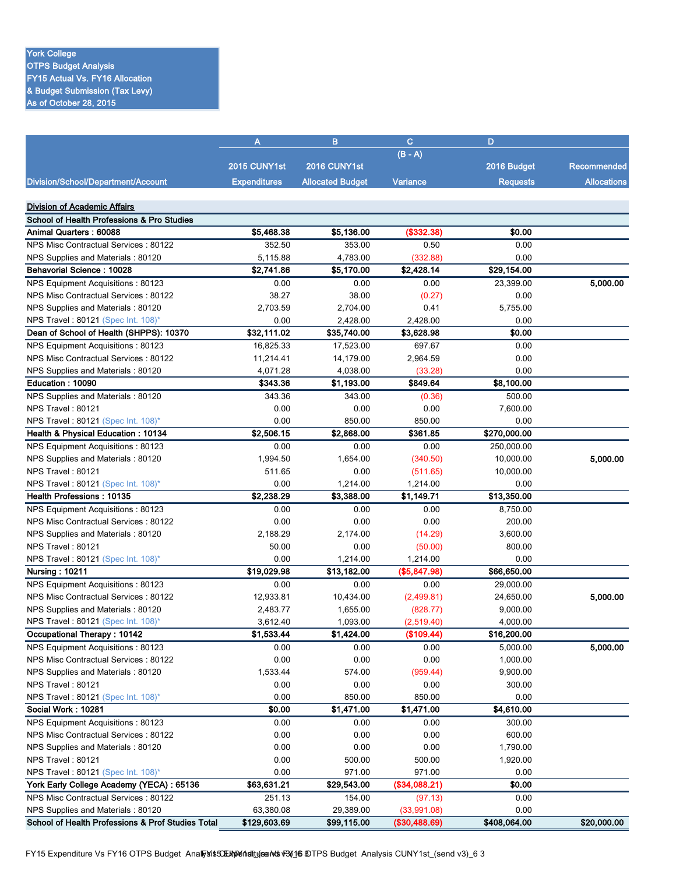# York College

OTPS Budget Analysis FY15 Actual Vs. FY16 Allocation & Budget Submission (Tax Levy) As of October 28, 2015

| $(B - A)$<br>2015 CUNY1st<br>2016 CUNY1st<br>2016 Budget                                                            | <b>Recommended</b> |
|---------------------------------------------------------------------------------------------------------------------|--------------------|
|                                                                                                                     |                    |
|                                                                                                                     |                    |
| Division/School/Department/Account<br><b>Expenditures</b><br><b>Allocated Budget</b><br>Variance<br><b>Requests</b> | <b>Allocations</b> |
| <b>Division of Academic Affairs</b>                                                                                 |                    |
| <b>School of Health Professions &amp; Pro Studies</b>                                                               |                    |
| <b>Animal Quarters: 60088</b><br>\$5,468.38<br>\$5,136.00<br>(\$332.38)<br>\$0.00                                   |                    |
| NPS Misc Contractual Services: 80122<br>352.50<br>353.00<br>0.50<br>0.00                                            |                    |
| 5,115.88<br>4,783.00<br>(332.88)<br>0.00<br>NPS Supplies and Materials: 80120                                       |                    |
| Behavorial Science: 10028<br>\$2,741.86<br>\$29,154.00<br>\$5,170.00<br>\$2,428.14                                  |                    |
| NPS Equipment Acquisitions: 80123<br>0.00<br>23,399.00<br>0.00<br>0.00                                              | 5,000.00           |
| NPS Misc Contractual Services: 80122<br>38.27<br>38.00<br>(0.27)<br>0.00                                            |                    |
| NPS Supplies and Materials: 80120<br>2,703.59<br>2,704.00<br>0.41<br>5,755.00                                       |                    |
| NPS Travel: 80121 (Spec Int. 108)*<br>0.00<br>2,428.00<br>2,428.00<br>0.00                                          |                    |
| \$32,111.02<br>\$0.00<br>Dean of School of Health (SHPPS): 10370<br>\$35,740.00<br>\$3,628.98                       |                    |
| 17,523.00                                                                                                           |                    |
| NPS Equipment Acquisitions: 80123<br>16,825.33<br>697.67<br>0.00                                                    |                    |
| NPS Misc Contractual Services: 80122<br>14,179.00<br>2,964.59<br>0.00<br>11,214.41                                  |                    |
| 4,071.28<br>4,038.00<br>0.00<br>NPS Supplies and Materials: 80120<br>(33.28)                                        |                    |
| Education: 10090<br>\$343.36<br>\$1,193.00<br>\$849.64<br>\$8,100.00                                                |                    |
| NPS Supplies and Materials: 80120<br>343.36<br>343.00<br>500.00<br>(0.36)                                           |                    |
| 0.00<br>0.00<br>0.00<br>7,600.00<br>NPS Travel: 80121                                                               |                    |
| NPS Travel: 80121 (Spec Int. 108)*<br>0.00<br>850.00<br>850.00<br>0.00                                              |                    |
| \$2,506.15<br>\$270,000.00<br>Health & Physical Education: 10134<br>\$2,868.00<br>\$361.85                          |                    |
| NPS Equipment Acquisitions: 80123<br>0.00<br>0.00<br>0.00<br>250,000.00                                             |                    |
| NPS Supplies and Materials: 80120<br>1,994.50<br>1,654.00<br>(340.50)<br>10,000.00                                  | 5,000.00           |
| NPS Travel: 80121<br>511.65<br>0.00<br>(511.65)<br>10,000.00                                                        |                    |
| NPS Travel: 80121 (Spec Int. 108)*<br>0.00<br>1,214.00<br>0.00<br>1,214.00                                          |                    |
| \$2,238.29<br><b>Health Professions: 10135</b><br>\$3,388.00<br>\$1,149.71<br>\$13,350.00                           |                    |
| NPS Equipment Acquisitions: 80123<br>0.00<br>0.00<br>0.00<br>8,750.00                                               |                    |
| NPS Misc Contractual Services: 80122<br>0.00<br>0.00<br>0.00<br>200.00                                              |                    |
| 2,188.29<br>2,174.00<br>3,600.00<br>NPS Supplies and Materials: 80120<br>(14.29)                                    |                    |
| NPS Travel: 80121<br>50.00<br>0.00<br>(50.00)<br>800.00                                                             |                    |
| 0.00<br>0.00<br>NPS Travel: 80121 (Spec Int. 108)*<br>1,214.00<br>1,214.00                                          |                    |
| \$19,029.98<br>\$13,182.00<br>(\$5,847.98)<br>\$66,650.00<br>Nursing: 10211                                         |                    |
| NPS Equipment Acquisitions: 80123<br>0.00<br>0.00<br>0.00<br>29,000.00                                              |                    |
| NPS Misc Contractual Services: 80122<br>12,933.81<br>10,434.00<br>(2,499.81)<br>24,650.00                           | 5,000.00           |
| NPS Supplies and Materials: 80120<br>2,483.77<br>1,655.00<br>(828.77)<br>9,000.00                                   |                    |
| NPS Travel: 80121 (Spec Int. 108)*<br>3,612.40<br>1,093.00<br>(2,519.40)<br>4,000.00                                |                    |
| Occupational Therapy : 10142<br>\$1,533.44<br>\$1,424.00<br>(\$109.44)<br>\$16,200.00                               |                    |
| NPS Equipment Acquisitions: 80123<br>0.00<br>5,000.00<br>0.00<br>0.00                                               | 5,000.00           |
| NPS Misc Contractual Services: 80122<br>0.00<br>0.00<br>0.00<br>1,000.00                                            |                    |
| NPS Supplies and Materials: 80120<br>1,533.44<br>574.00<br>(959.44)<br>9,900.00                                     |                    |
| NPS Travel: 80121<br>0.00<br>0.00<br>0.00<br>300.00                                                                 |                    |
| NPS Travel: 80121 (Spec Int. 108)*<br>0.00<br>0.00<br>850.00<br>850.00                                              |                    |
| \$0.00<br>\$1,471.00<br>\$1,471.00<br>\$4,610.00<br>Social Work: 10281                                              |                    |
| NPS Equipment Acquisitions: 80123<br>0.00<br>300.00<br>0.00<br>0.00                                                 |                    |
| NPS Misc Contractual Services: 80122<br>0.00<br>0.00<br>0.00<br>600.00                                              |                    |
| 0.00<br>0.00<br>0.00<br>NPS Supplies and Materials: 80120<br>1,790.00                                               |                    |
| 0.00<br>500.00<br>500.00<br>NPS Travel: 80121<br>1,920.00                                                           |                    |
| NPS Travel: 80121 (Spec Int. 108)*<br>0.00<br>971.00<br>971.00<br>0.00                                              |                    |
| York Early College Academy (YECA) : 65136<br>\$63,631.21<br>\$29,543.00<br>(\$34,088.21)<br>\$0.00                  |                    |
| NPS Misc Contractual Services: 80122<br>(97.13)<br>251.13<br>154.00<br>0.00                                         |                    |
| NPS Supplies and Materials: 80120<br>63,380.08<br>29,389.00<br>(33,991.08)<br>0.00                                  |                    |
| School of Health Professions & Prof Studies Total<br>\$408,064.00<br>\$129,603.69<br>\$99,115.00<br>(\$30,488.69)   | \$20,000.00        |

FY15 Expenditure Vs FY16 OTPS Budget Analysis CEMMendtuis ends vBy16 \$0TPS Budget Analysis CUNY1st\_(send v3)\_6 3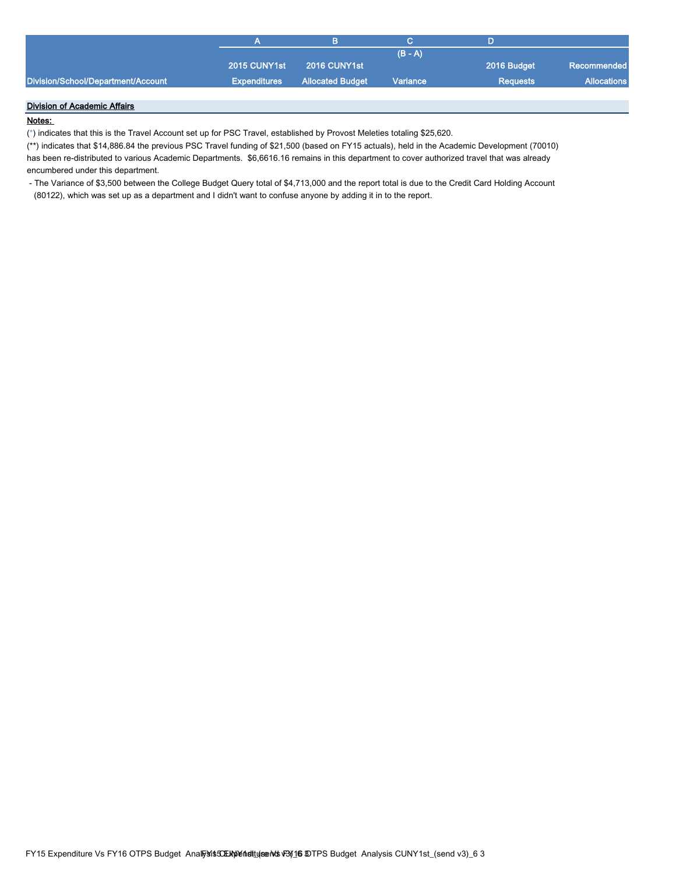|                                    |              |                                      | $(B - A)$ |                 |                    |
|------------------------------------|--------------|--------------------------------------|-----------|-----------------|--------------------|
|                                    | 2015 CUNY1st | 2016 CUNY1st                         |           | 2016 Budget     | Recommended        |
| Division/School/Department/Account |              | <b>Expenditures</b> Allocated Budget | Variance  | <b>Requests</b> | <b>Allocations</b> |
|                                    |              |                                      |           |                 |                    |

## Division of Academic Affairs

## Notes:

(\*) indicates that this is the Travel Account set up for PSC Travel, established by Provost Meleties totaling \$25,620.

(\*\*) indicates that \$14,886.84 the previous PSC Travel funding of \$21,500 (based on FY15 actuals), held in the Academic Development (70010) has been re-distributed to various Academic Departments. \$6,6616.16 remains in this department to cover authorized travel that was already encumbered under this department.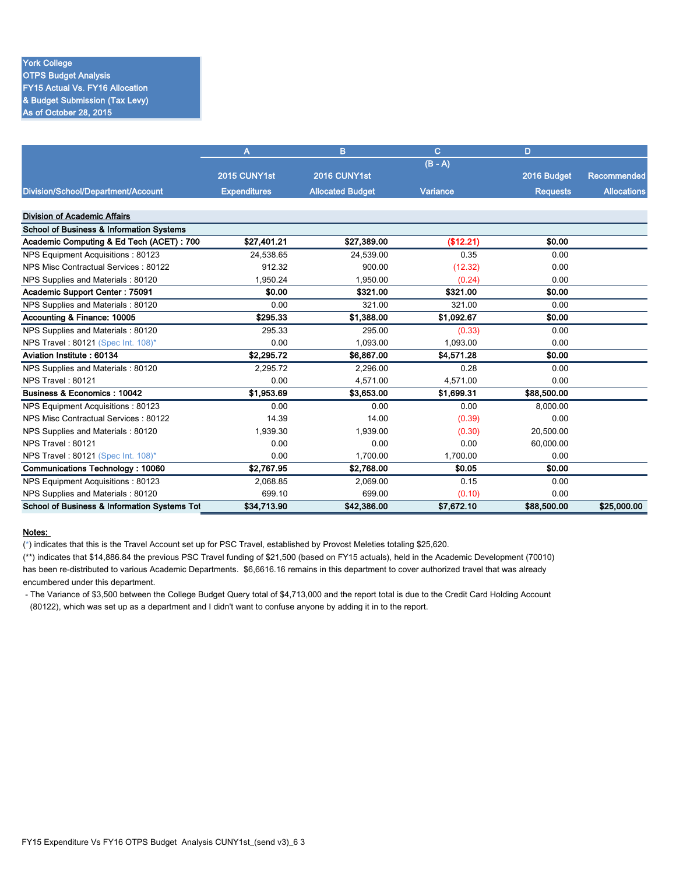## York College

OTPS Budget Analysis FY15 Actual Vs. FY16 Allocation & Budget Submission (Tax Levy) As of October 28, 2015

|                                                     | A                   | B                       | C          | D               |                    |
|-----------------------------------------------------|---------------------|-------------------------|------------|-----------------|--------------------|
|                                                     |                     |                         | $(B - A)$  |                 |                    |
|                                                     | 2015 CUNY1st        | 2016 CUNY1st            |            | 2016 Budget     | Recommended        |
| Division/School/Department/Account                  | <b>Expenditures</b> | <b>Allocated Budget</b> | Variance   | <b>Requests</b> | <b>Allocations</b> |
|                                                     |                     |                         |            |                 |                    |
| <b>Division of Academic Affairs</b>                 |                     |                         |            |                 |                    |
| <b>School of Business &amp; Information Systems</b> |                     |                         |            |                 |                    |
| Academic Computing & Ed Tech (ACET): 700            | \$27,401.21         | \$27,389.00             | (\$12.21)  | \$0.00          |                    |
| NPS Equipment Acquisitions: 80123                   | 24,538.65           | 24,539.00               | 0.35       | 0.00            |                    |
| NPS Misc Contractual Services: 80122                | 912.32              | 900.00                  | (12.32)    | 0.00            |                    |
| NPS Supplies and Materials: 80120                   | 1,950.24            | 1,950.00                | (0.24)     | 0.00            |                    |
| <b>Academic Support Center: 75091</b>               | \$0.00              | \$321.00                | \$321.00   | \$0.00          |                    |
| NPS Supplies and Materials: 80120                   | 0.00                | 321.00                  | 321.00     | 0.00            |                    |
| Accounting & Finance: 10005                         | \$295.33            | \$1,388.00              | \$1,092.67 | \$0.00          |                    |
| NPS Supplies and Materials: 80120                   | 295.33              | 295.00                  | (0.33)     | 0.00            |                    |
| NPS Travel: 80121 (Spec Int. 108)*                  | 0.00                | 1,093.00                | 1,093.00   | 0.00            |                    |
| Aviation Institute: 60134                           | \$2,295.72          | \$6,867.00              | \$4,571.28 | \$0.00          |                    |
| NPS Supplies and Materials: 80120                   | 2.295.72            | 2.296.00                | 0.28       | 0.00            |                    |
| NPS Travel: 80121                                   | 0.00                | 4,571.00                | 4,571.00   | 0.00            |                    |
| Business & Economics: 10042                         | \$1,953.69          | \$3,653.00              | \$1,699.31 | \$88,500.00     |                    |
| NPS Equipment Acquisitions: 80123                   | 0.00                | 0.00                    | 0.00       | 8,000.00        |                    |
| NPS Misc Contractual Services: 80122                | 14.39               | 14.00                   | (0.39)     | 0.00            |                    |
| NPS Supplies and Materials: 80120                   | 1,939.30            | 1,939.00                | (0.30)     | 20,500.00       |                    |
| NPS Travel: 80121                                   | 0.00                | 0.00                    | 0.00       | 60.000.00       |                    |
| NPS Travel: 80121 (Spec Int. 108)*                  | 0.00                | 1.700.00                | 1.700.00   | 0.00            |                    |
| Communications Technology: 10060                    | \$2,767.95          | \$2,768.00              | \$0.05     | \$0.00          |                    |
| NPS Equipment Acquisitions: 80123                   | 2.068.85            | 2.069.00                | 0.15       | 0.00            |                    |
| NPS Supplies and Materials: 80120                   | 699.10              | 699.00                  | (0.10)     | 0.00            |                    |
| School of Business & Information Systems Tot        | \$34,713.90         | \$42,386.00             | \$7.672.10 | \$88,500.00     | \$25,000.00        |

#### Notes:

(\*) indicates that this is the Travel Account set up for PSC Travel, established by Provost Meleties totaling \$25,620.

(\*\*) indicates that \$14,886.84 the previous PSC Travel funding of \$21,500 (based on FY15 actuals), held in the Academic Development (70010) has been re-distributed to various Academic Departments. \$6,6616.16 remains in this department to cover authorized travel that was already encumbered under this department.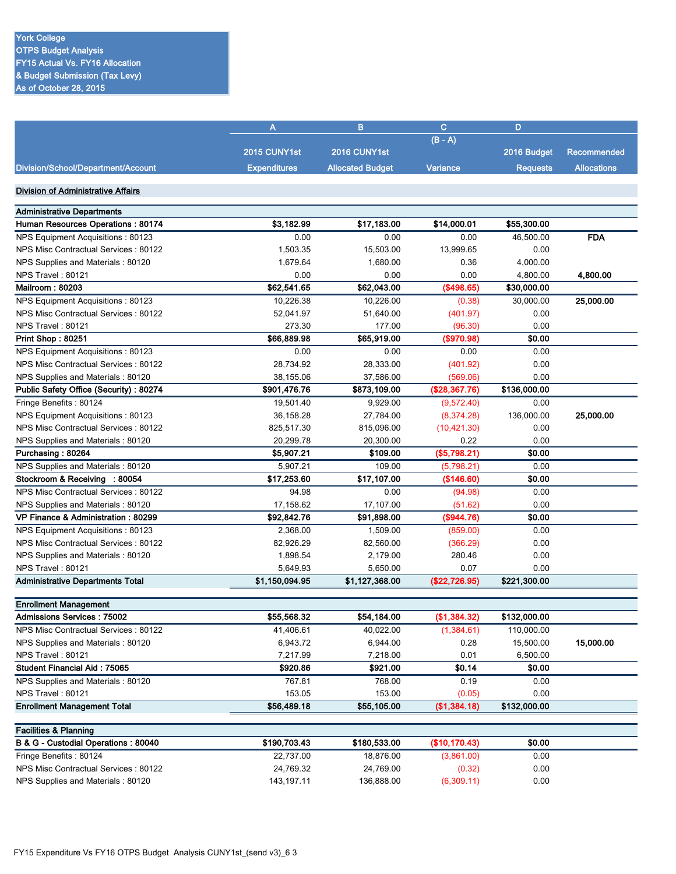|                                         | A                   | B                       | $\mathbf{C}$    | D               |                    |
|-----------------------------------------|---------------------|-------------------------|-----------------|-----------------|--------------------|
|                                         |                     |                         | $(B - A)$       |                 |                    |
|                                         | 2015 CUNY1st        | 2016 CUNY1st            |                 | 2016 Budget     | <b>Recommended</b> |
| Division/School/Department/Account      | <b>Expenditures</b> | <b>Allocated Budget</b> | <b>Variance</b> | <b>Requests</b> | <b>Allocations</b> |
| Division of Administrative Affairs      |                     |                         |                 |                 |                    |
| <b>Administrative Departments</b>       |                     |                         |                 |                 |                    |
| Human Resources Operations: 80174       | \$3,182.99          | \$17,183.00             | \$14,000.01     | \$55,300.00     |                    |
| NPS Equipment Acquisitions: 80123       | 0.00                | 0.00                    | 0.00            | 46,500.00       | <b>FDA</b>         |
| NPS Misc Contractual Services: 80122    | 1,503.35            | 15,503.00               | 13,999.65       | 0.00            |                    |
| NPS Supplies and Materials: 80120       | 1,679.64            | 1,680.00                | 0.36            | 4,000.00        |                    |
| NPS Travel: 80121                       | 0.00                | 0.00                    | 0.00            | 4,800.00        | 4,800.00           |
| Mailroom: 80203                         | \$62,541.65         | \$62,043.00             | (\$498.65)      | \$30,000.00     |                    |
| NPS Equipment Acquisitions: 80123       | 10.226.38           | 10,226.00               | (0.38)          | 30,000.00       | 25,000.00          |
| NPS Misc Contractual Services: 80122    | 52.041.97           | 51,640.00               | (401.97)        | 0.00            |                    |
| <b>NPS Travel: 80121</b>                | 273.30              | 177.00                  | (96.30)         | 0.00            |                    |
| Print Shop: 80251                       | \$66,889.98         | \$65,919.00             | (\$970.98)      | \$0.00          |                    |
| NPS Equipment Acquisitions: 80123       | 0.00                | 0.00                    | 0.00            | 0.00            |                    |
| NPS Misc Contractual Services: 80122    | 28,734.92           | 28,333.00               | (401.92)        | 0.00            |                    |
| NPS Supplies and Materials: 80120       | 38,155.06           | 37,586.00               | (569.06)        | 0.00            |                    |
| Public Safety Office (Security): 80274  | \$901,476.76        | \$873,109.00            | (\$28,367.76)   | \$136,000.00    |                    |
| Fringe Benefits: 80124                  | 19.501.40           | 9.929.00                | (9,572.40)      | 0.00            |                    |
| NPS Equipment Acquisitions: 80123       | 36,158.28           | 27,784.00               | (8,374.28)      | 136,000.00      | 25,000.00          |
| NPS Misc Contractual Services: 80122    | 825,517.30          | 815,096.00              | (10, 421.30)    | 0.00            |                    |
| NPS Supplies and Materials: 80120       | 20,299.78           | 20,300.00               | 0.22            | 0.00            |                    |
| Purchasing: 80264                       | \$5,907.21          | \$109.00                | (\$5,798.21)    | \$0.00          |                    |
| NPS Supplies and Materials: 80120       | 5,907.21            | 109.00                  | (5,798.21)      | 0.00            |                    |
| Stockroom & Receiving : 80054           | \$17,253.60         | \$17,107.00             | (\$146.60)      | \$0.00          |                    |
| NPS Misc Contractual Services: 80122    | 94.98               | 0.00                    | (94.98)         | 0.00            |                    |
| NPS Supplies and Materials: 80120       | 17,158.62           | 17,107.00               | (51.62)         | 0.00            |                    |
| VP Finance & Administration: 80299      | \$92,842.76         | \$91,898.00             | (\$944.76)      | \$0.00          |                    |
| NPS Equipment Acquisitions: 80123       | 2,368.00            | 1,509.00                | (859.00)        | 0.00            |                    |
| NPS Misc Contractual Services: 80122    | 82,926.29           | 82,560.00               | (366.29)        | 0.00            |                    |
| NPS Supplies and Materials: 80120       | 1,898.54            | 2,179.00                | 280.46          | 0.00            |                    |
| <b>NPS Travel: 80121</b>                | 5,649.93            | 5,650.00                | 0.07            | 0.00            |                    |
| <b>Administrative Departments Total</b> | \$1,150,094.95      | \$1,127,368.00          | (\$22,726.95)   | \$221,300.00    |                    |
|                                         |                     |                         |                 |                 |                    |

| <b>Enrollment Management</b>         |             |             |              |              |           |
|--------------------------------------|-------------|-------------|--------------|--------------|-----------|
| <b>Admissions Services: 75002</b>    | \$55,568.32 | \$54.184.00 | (\$1,384.32) | \$132,000.00 |           |
| NPS Misc Contractual Services: 80122 | 41.406.61   | 40.022.00   | (1,384.61)   | 110.000.00   |           |
| NPS Supplies and Materials: 80120    | 6.943.72    | 6.944.00    | 0.28         | 15.500.00    | 15,000.00 |
| <b>NPS Travel: 80121</b>             | 7.217.99    | 7.218.00    | 0.01         | 6.500.00     |           |
| <b>Student Financial Aid: 75065</b>  | \$920.86    | \$921.00    | \$0.14       | \$0.00       |           |
| NPS Supplies and Materials: 80120    | 767.81      | 768.00      | 0.19         | 0.00         |           |
| NPS Travel: 80121                    | 153.05      | 153.00      | (0.05)       | 0.00         |           |
| <b>Enrollment Management Total</b>   | \$56,489.18 | \$55,105.00 | (\$1,384.18) | \$132,000.00 |           |

| <b>Facilities &amp; Planning</b>     |              |              |               |        |  |
|--------------------------------------|--------------|--------------|---------------|--------|--|
| B & G - Custodial Operations: 80040  | \$190,703.43 | \$180,533,00 | (S10, 170.43) | \$0.00 |  |
| Fringe Benefits: 80124               | 22,737.00    | 18.876.00    | (3,861.00)    | 0.00   |  |
| NPS Misc Contractual Services: 80122 | 24.769.32    | 24.769.00    | (0.32)        | 0.00   |  |
| NPS Supplies and Materials: 80120    | 143.197.11   | 136.888.00   | (6,309.11)    | 0.00   |  |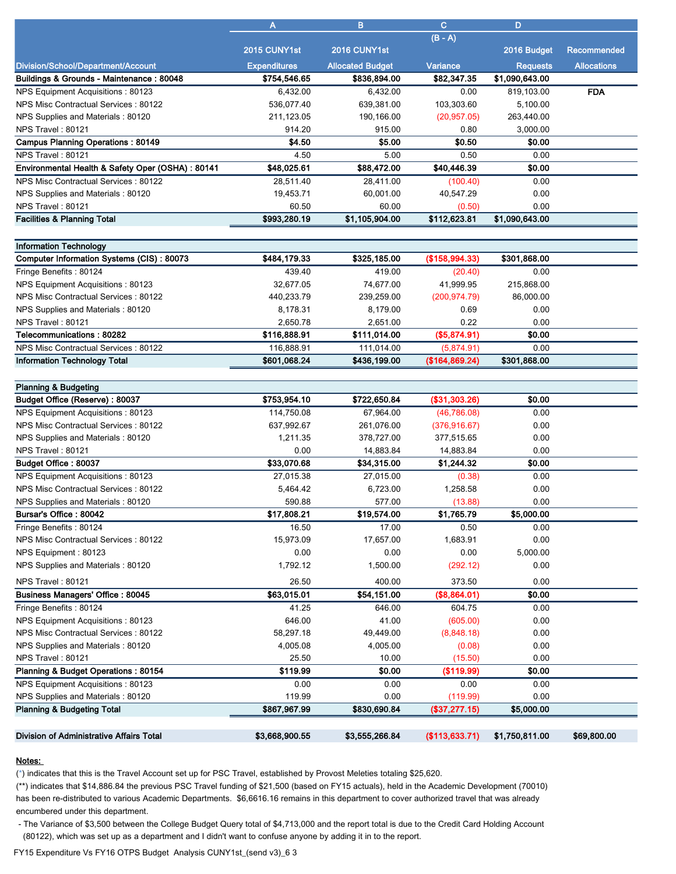|                                                  | A                   | в                       | C.           | D               |                    |
|--------------------------------------------------|---------------------|-------------------------|--------------|-----------------|--------------------|
|                                                  |                     |                         | $(B - A)$    |                 |                    |
|                                                  | 2015 CUNY1st        | 2016 CUNY1st            |              | 2016 Budget     | <b>Recommended</b> |
| Division/School/Department/Account               | <b>Expenditures</b> | <b>Allocated Budget</b> | Variance     | <b>Requests</b> | <b>Allocations</b> |
| Buildings & Grounds - Maintenance: 80048         | \$754,546.65        | \$836,894.00            | \$82,347.35  | \$1,090,643.00  |                    |
| NPS Equipment Acquisitions: 80123                | 6,432.00            | 6,432.00                | 0.00         | 819,103.00      | <b>FDA</b>         |
| NPS Misc Contractual Services: 80122             | 536,077.40          | 639,381.00              | 103,303.60   | 5,100.00        |                    |
| NPS Supplies and Materials: 80120                | 211,123.05          | 190,166.00              | (20, 957.05) | 263,440.00      |                    |
| <b>NPS Travel: 80121</b>                         | 914.20              | 915.00                  | 0.80         | 3,000.00        |                    |
| <b>Campus Planning Operations: 80149</b>         | \$4.50              | \$5.00                  | \$0.50       | \$0.00          |                    |
| NPS Travel: 80121                                | 4.50                | 5.00                    | 0.50         | 0.00            |                    |
| Environmental Health & Safety Oper (OSHA): 80141 | \$48,025.61         | \$88,472.00             | \$40,446.39  | \$0.00          |                    |
| NPS Misc Contractual Services: 80122             | 28.511.40           | 28.411.00               | (100.40)     | 0.00            |                    |
| NPS Supplies and Materials: 80120                | 19.453.71           | 60,001.00               | 40.547.29    | 0.00            |                    |
| NPS Travel: 80121                                | 60.50               | 60.00                   | (0.50)       | 0.00            |                    |
| <b>Facilities &amp; Planning Total</b>           | \$993,280.19        | \$1,105,904.00          | \$112,623.81 | \$1,090,643.00  |                    |

| <b>Information Technology</b>             |              |              |                |              |  |
|-------------------------------------------|--------------|--------------|----------------|--------------|--|
| Computer Information Systems (CIS): 80073 | \$484,179.33 | \$325,185.00 | (\$158,994.33) | \$301,868.00 |  |
| Fringe Benefits: 80124                    | 439.40       | 419.00       | (20.40)        | 0.00         |  |
| NPS Equipment Acquisitions: 80123         | 32.677.05    | 74.677.00    | 41,999.95      | 215.868.00   |  |
| NPS Misc Contractual Services: 80122      | 440.233.79   | 239.259.00   | (200, 974.79)  | 86,000.00    |  |
| NPS Supplies and Materials: 80120         | 8.178.31     | 8.179.00     | 0.69           | 0.00         |  |
| NPS Travel: 80121                         | 2.650.78     | 2.651.00     | 0.22           | 0.00         |  |
| Telecommunications: 80282                 | \$116,888.91 | \$111,014.00 | (\$5,874.91)   | \$0.00       |  |
| NPS Misc Contractual Services: 80122      | 116.888.91   | 111.014.00   | (5,874.91)     | 0.00         |  |
| <b>Information Technology Total</b>       | \$601.068.24 | \$436,199.00 | (\$164,869.24) | \$301.868.00 |  |
|                                           |              |              |                |              |  |

| <b>Planning &amp; Budgeting</b>                 |                |                |                |                |             |
|-------------------------------------------------|----------------|----------------|----------------|----------------|-------------|
| Budget Office (Reserve): 80037                  | \$753,954.10   | \$722,650.84   | (\$31,303.26)  | \$0.00         |             |
| NPS Equipment Acquisitions: 80123               | 114.750.08     | 67.964.00      | (46.786.08)    | 0.00           |             |
| NPS Misc Contractual Services: 80122            | 637,992.67     | 261,076.00     | (376, 916.67)  | 0.00           |             |
| NPS Supplies and Materials: 80120               | 1.211.35       | 378.727.00     | 377,515.65     | 0.00           |             |
| NPS Travel: 80121                               | 0.00           | 14,883.84      | 14,883.84      | 0.00           |             |
| Budget Office: 80037                            | \$33,070.68    | \$34,315.00    | \$1,244.32     | \$0.00         |             |
| NPS Equipment Acquisitions: 80123               | 27,015.38      | 27,015.00      | (0.38)         | 0.00           |             |
| NPS Misc Contractual Services: 80122            | 5,464.42       | 6,723.00       | 1,258.58       | 0.00           |             |
| NPS Supplies and Materials: 80120               | 590.88         | 577.00         | (13.88)        | 0.00           |             |
| Bursar's Office: 80042                          | \$17,808.21    | \$19,574.00    | \$1,765.79     | \$5,000.00     |             |
| Fringe Benefits: 80124                          | 16.50          | 17.00          | 0.50           | 0.00           |             |
| NPS Misc Contractual Services: 80122            | 15,973.09      | 17,657.00      | 1,683.91       | 0.00           |             |
| NPS Equipment: 80123                            | 0.00           | 0.00           | 0.00           | 5,000.00       |             |
| NPS Supplies and Materials: 80120               | 1,792.12       | 1,500.00       | (292.12)       | 0.00           |             |
| NPS Travel: 80121                               | 26.50          | 400.00         | 373.50         | 0.00           |             |
| <b>Business Managers' Office: 80045</b>         | \$63,015.01    | \$54,151.00    | (\$8,864.01)   | \$0.00         |             |
| Fringe Benefits: 80124                          | 41.25          | 646.00         | 604.75         | 0.00           |             |
| NPS Equipment Acquisitions: 80123               | 646.00         | 41.00          | (605.00)       | 0.00           |             |
| NPS Misc Contractual Services: 80122            | 58,297.18      | 49,449.00      | (8,848.18)     | 0.00           |             |
| NPS Supplies and Materials: 80120               | 4,005.08       | 4,005.00       | (0.08)         | 0.00           |             |
| NPS Travel: 80121                               | 25.50          | 10.00          | (15.50)        | 0.00           |             |
| Planning & Budget Operations: 80154             | \$119.99       | \$0.00         | (\$119.99)     | \$0.00         |             |
| NPS Equipment Acquisitions: 80123               | 0.00           | 0.00           | 0.00           | 0.00           |             |
| NPS Supplies and Materials: 80120               | 119.99         | 0.00           | (119.99)       | 0.00           |             |
| <b>Planning &amp; Budgeting Total</b>           | \$867,967.99   | \$830,690.84   | (S37, 277, 15) | \$5,000.00     |             |
| <b>Division of Administrative Affairs Total</b> | \$3,668,900.55 | \$3,555,266.84 | (\$113,633.71) | \$1,750,811.00 | \$69,800.00 |

(\*) indicates that this is the Travel Account set up for PSC Travel, established by Provost Meleties totaling \$25,620.

(\*\*) indicates that \$14,886.84 the previous PSC Travel funding of \$21,500 (based on FY15 actuals), held in the Academic Development (70010) has been re-distributed to various Academic Departments. \$6,6616.16 remains in this department to cover authorized travel that was already encumbered under this department.

 - The Variance of \$3,500 between the College Budget Query total of \$4,713,000 and the report total is due to the Credit Card Holding Account (80122), which was set up as a department and I didn't want to confuse anyone by adding it in to the report.

FY15 Expenditure Vs FY16 OTPS Budget Analysis CUNY1st\_(send v3)\_6 3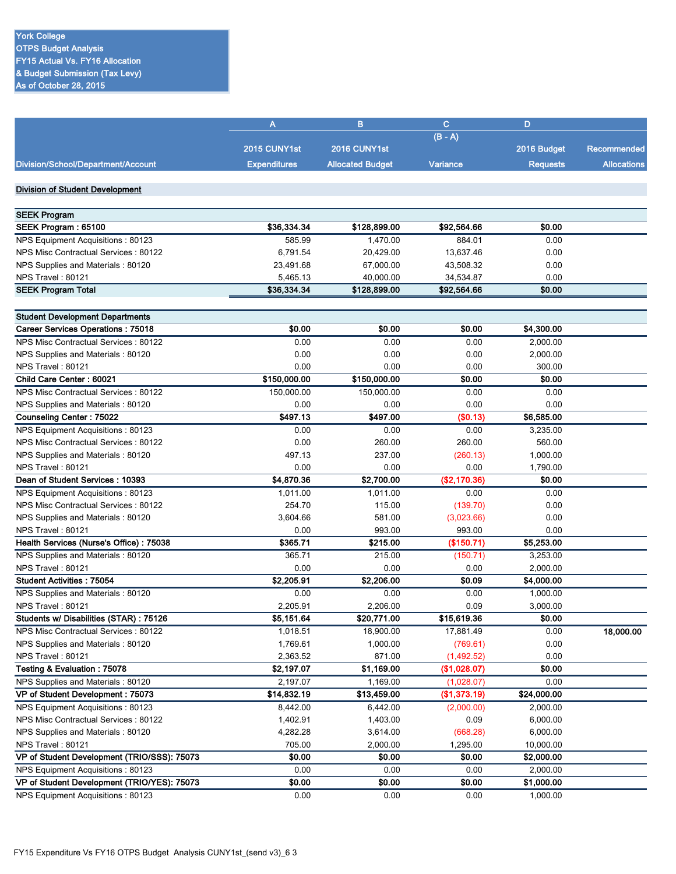|                                             | A                   | B                       | $\mathbf{C}$ | D               |                    |
|---------------------------------------------|---------------------|-------------------------|--------------|-----------------|--------------------|
|                                             |                     |                         | $(B - A)$    |                 |                    |
|                                             | 2015 CUNY1st        | 2016 CUNY1st            |              | 2016 Budget     | <b>Recommended</b> |
| Division/School/Department/Account          | <b>Expenditures</b> | <b>Allocated Budget</b> | Variance     | <b>Requests</b> | <b>Allocations</b> |
|                                             |                     |                         |              |                 |                    |
| <b>Division of Student Development</b>      |                     |                         |              |                 |                    |
|                                             |                     |                         |              |                 |                    |
| <b>SEEK Program</b>                         |                     |                         |              |                 |                    |
| SEEK Program: 65100                         | \$36,334.34         | \$128,899.00            | \$92,564.66  | \$0.00          |                    |
| NPS Equipment Acquisitions: 80123           | 585.99              | 1,470.00                | 884.01       | 0.00            |                    |
| NPS Misc Contractual Services: 80122        | 6,791.54            | 20,429.00               | 13,637.46    | 0.00            |                    |
| NPS Supplies and Materials: 80120           | 23,491.68           | 67,000.00               | 43,508.32    | 0.00            |                    |
| <b>NPS Travel: 80121</b>                    | 5,465.13            | 40,000.00               | 34,534.87    | 0.00            |                    |
| <b>SEEK Program Total</b>                   | \$36,334.34         | \$128,899.00            | \$92,564.66  | \$0.00          |                    |
|                                             |                     |                         |              |                 |                    |
| <b>Student Development Departments</b>      |                     |                         |              |                 |                    |
| Career Services Operations: 75018           | \$0.00              | \$0.00                  | \$0.00       | \$4,300.00      |                    |
| NPS Misc Contractual Services: 80122        | 0.00                | 0.00                    | 0.00         | 2,000.00        |                    |
| NPS Supplies and Materials: 80120           | 0.00                | 0.00                    | 0.00         | 2,000.00        |                    |
| NPS Travel: 80121                           | 0.00                | 0.00                    | 0.00         | 300.00          |                    |
| Child Care Center: 60021                    | \$150,000.00        | \$150,000.00            | \$0.00       | \$0.00          |                    |
| NPS Misc Contractual Services: 80122        | 150,000.00          | 150,000.00              | 0.00         | 0.00            |                    |
| NPS Supplies and Materials: 80120           | 0.00                | 0.00                    | 0.00         | 0.00            |                    |
| Counseling Center: 75022                    | \$497.13            | \$497.00                | (\$0.13)     | \$6,585.00      |                    |
| NPS Equipment Acquisitions: 80123           | 0.00                | 0.00                    | 0.00         | 3,235.00        |                    |
| NPS Misc Contractual Services: 80122        | 0.00                | 260.00                  | 260.00       | 560.00          |                    |
| NPS Supplies and Materials: 80120           | 497.13              | 237.00                  | (260.13)     | 1,000.00        |                    |
| NPS Travel: 80121                           | 0.00                | 0.00                    | 0.00         | 1,790.00        |                    |
| Dean of Student Services: 10393             | \$4,870.36          | \$2,700.00              | (\$2,170.36) | \$0.00          |                    |
| NPS Equipment Acquisitions: 80123           | 1,011.00            | 1,011.00                | 0.00         | 0.00            |                    |
| NPS Misc Contractual Services: 80122        | 254.70              | 115.00                  | (139.70)     | 0.00            |                    |
| NPS Supplies and Materials: 80120           | 3,604.66            | 581.00                  | (3,023.66)   | 0.00            |                    |
| NPS Travel: 80121                           | 0.00                | 993.00                  | 993.00       | 0.00            |                    |
| Health Services (Nurse's Office): 75038     | \$365.71            | \$215.00                | (\$150.71)   | \$5,253.00      |                    |
| NPS Supplies and Materials: 80120           | 365.71              | 215.00                  | (150.71)     | 3,253.00        |                    |
| NPS Travel: 80121                           | 0.00                | 0.00                    | 0.00         | 2,000.00        |                    |
| <b>Student Activities: 75054</b>            | \$2,205.91          | \$2,206.00              | \$0.09       | \$4,000.00      |                    |
| NPS Supplies and Materials: 80120           | 0.00                | 0.00                    | 0.00         | 1,000.00        |                    |
| NPS Travel: 80121                           | 2,205.91            | 2,206.00                | 0.09         | 3,000.00        |                    |
| Students w/ Disabilities (STAR): 75126      | \$5,151.64          | \$20,771.00             | \$15,619.36  | \$0.00          |                    |
| NPS Misc Contractual Services : 80122       | 1,018.51            | 18,900.00               | 17,881.49    | 0.00            | 18,000.00          |
| NPS Supplies and Materials: 80120           | 1,769.61            | 1,000.00                | (769.61)     | 0.00            |                    |
| NPS Travel: 80121                           | 2,363.52            | 871.00                  | (1,492.52)   | 0.00            |                    |
| Testing & Evaluation: 75078                 | \$2,197.07          | \$1,169.00              | (\$1,028.07) | \$0.00          |                    |
| NPS Supplies and Materials: 80120           | 2,197.07            | 1,169.00                | (1,028.07)   | 0.00            |                    |
| VP of Student Development: 75073            | \$14,832.19         | \$13,459.00             | (\$1,373.19) | \$24,000.00     |                    |
| NPS Equipment Acquisitions: 80123           | 8,442.00            | 6,442.00                | (2,000.00)   | 2,000.00        |                    |
| NPS Misc Contractual Services : 80122       | 1,402.91            | 1,403.00                | 0.09         | 6,000.00        |                    |
| NPS Supplies and Materials: 80120           | 4,282.28            | 3,614.00                | (668.28)     | 6,000.00        |                    |
| NPS Travel: 80121                           | 705.00              | 2,000.00                | 1,295.00     | 10,000.00       |                    |
| VP of Student Development (TRIO/SSS): 75073 | \$0.00              | \$0.00                  | \$0.00       | \$2,000.00      |                    |
| NPS Equipment Acquisitions: 80123           | 0.00                | 0.00                    | 0.00         | 2,000.00        |                    |
| VP of Student Development (TRIO/YES): 75073 | \$0.00              | \$0.00                  | \$0.00       | \$1,000.00      |                    |
| NPS Equipment Acquisitions: 80123           | 0.00                | 0.00                    | 0.00         | 1,000.00        |                    |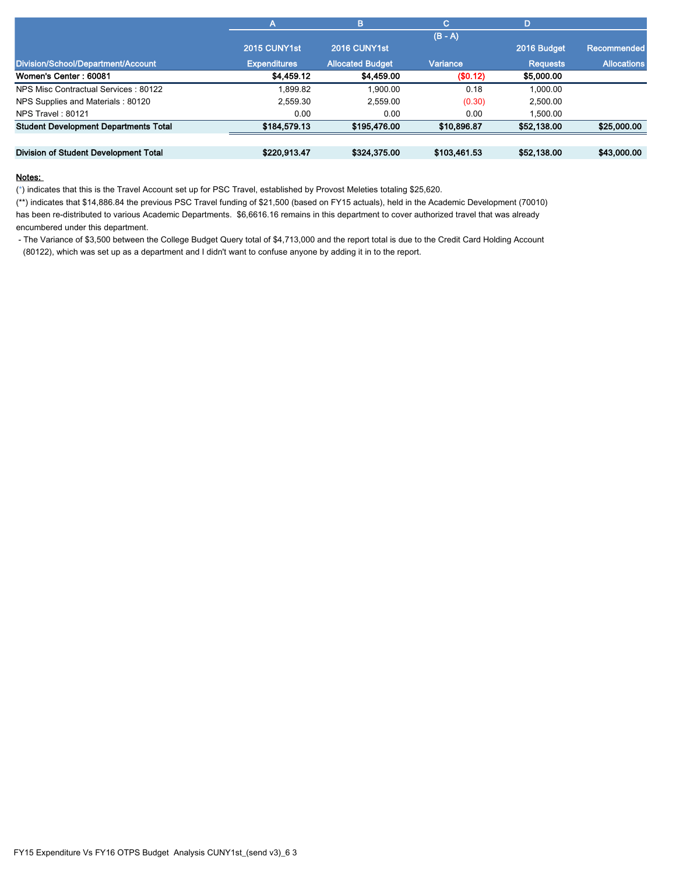|                                              | Α                   | B                       | C.           | D               |                    |
|----------------------------------------------|---------------------|-------------------------|--------------|-----------------|--------------------|
|                                              |                     |                         | $(B - A)$    |                 |                    |
|                                              | 2015 CUNY1st        | 2016 CUNY1st            |              | 2016 Budget     | <b>Recommended</b> |
| Division/School/Department/Account           | <b>Expenditures</b> | <b>Allocated Budget</b> | Variance     | <b>Requests</b> | <b>Allocations</b> |
| Women's Center: 60081                        | \$4,459.12          | \$4,459.00              | (\$0.12)     | \$5,000.00      |                    |
| NPS Misc Contractual Services: 80122         | 1.899.82            | 1.900.00                | 0.18         | 1.000.00        |                    |
| NPS Supplies and Materials: 80120            | 2.559.30            | 2.559.00                | (0.30)       | 2,500.00        |                    |
| NPS Travel: 80121                            | 0.00                | 0.00                    | 0.00         | 1.500.00        |                    |
| <b>Student Development Departments Total</b> | \$184,579.13        | \$195,476.00            | \$10,896.87  | \$52,138.00     | \$25,000.00        |
|                                              |                     |                         |              |                 |                    |
| Division of Student Development Total        | \$220,913.47        | \$324,375.00            | \$103,461.53 | \$52,138.00     | \$43,000.00        |

(\*) indicates that this is the Travel Account set up for PSC Travel, established by Provost Meleties totaling \$25,620.

(\*\*) indicates that \$14,886.84 the previous PSC Travel funding of \$21,500 (based on FY15 actuals), held in the Academic Development (70010) has been re-distributed to various Academic Departments. \$6,6616.16 remains in this department to cover authorized travel that was already encumbered under this department.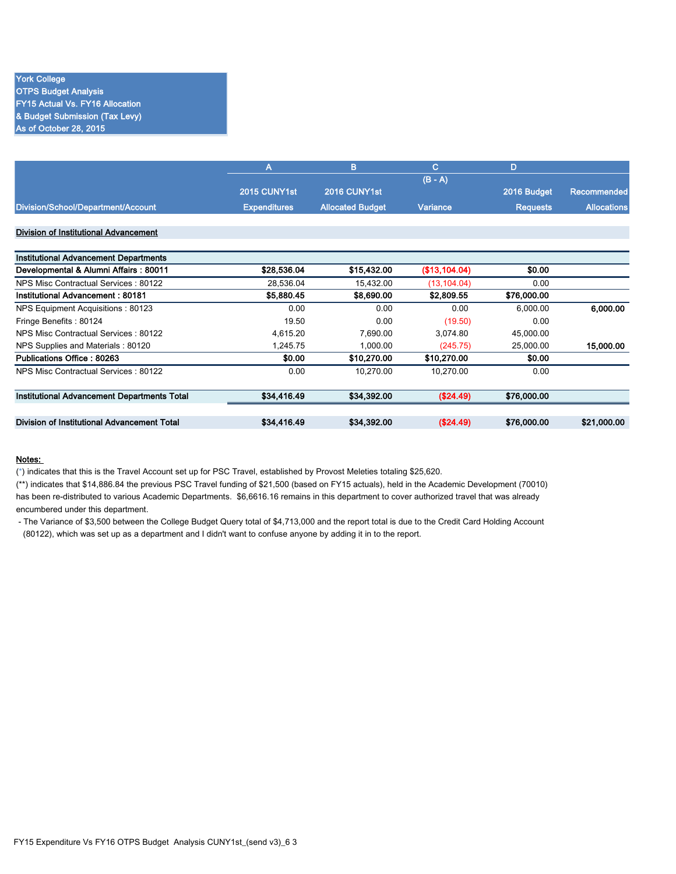### York College OTPS Budget Analysis FY15 Actual Vs. FY16 Allocation & Budget Submission (Tax Levy) As of October 28, 2015

|                                              | Α                   | B                       | C.            | D               |                    |
|----------------------------------------------|---------------------|-------------------------|---------------|-----------------|--------------------|
|                                              |                     |                         | $(B - A)$     |                 |                    |
|                                              | 2015 CUNY1st        | 2016 CUNY1st            |               | 2016 Budget     | <b>Recommended</b> |
| Division/School/Department/Account           | <b>Expenditures</b> | <b>Allocated Budget</b> | Variance      | <b>Requests</b> | <b>Allocations</b> |
| Division of Institutional Advancement        |                     |                         |               |                 |                    |
| <b>Institutional Advancement Departments</b> |                     |                         |               |                 |                    |
| Developmental & Alumni Affairs: 80011        | \$28,536.04         | \$15,432.00             | (\$13,104.04) | \$0.00          |                    |
| NPS Misc Contractual Services: 80122         | 28,536.04           | 15,432.00               | (13, 104.04)  | 0.00            |                    |
| Institutional Advancement: 80181             | \$5,880.45          | \$8,690.00              | \$2,809.55    | \$76,000.00     |                    |
| NPS Equipment Acquisitions: 80123            | 0.00                | 0.00                    | 0.00          | 6.000.00        | 6,000.00           |
| Fringe Benefits: 80124                       | 19.50               | 0.00                    | (19.50)       | 0.00            |                    |
| NPS Misc Contractual Services: 80122         | 4,615.20            | 7,690.00                | 3,074.80      | 45,000.00       |                    |
| NPS Supplies and Materials: 80120            | 1,245.75            | 1,000.00                | (245.75)      | 25,000.00       | 15,000.00          |
| Publications Office: 80263                   | \$0.00              | \$10,270.00             | \$10,270.00   | \$0.00          |                    |
|                                              |                     |                         |               |                 |                    |

| Developmental & Alumni Affairs : 80011      | \$28,536.04 | \$15,432.00 | (\$13,104.04) | \$0.00      |             |
|---------------------------------------------|-------------|-------------|---------------|-------------|-------------|
| NPS Misc Contractual Services: 80122        | 28.536.04   | 15,432.00   | (13, 104.04)  | 0.00        |             |
| Institutional Advancement : 80181           | \$5,880.45  | \$8,690.00  | \$2,809.55    | \$76,000.00 |             |
| NPS Equipment Acquisitions: 80123           | 0.00        | 0.00        | 0.00          | 6.000.00    | 6.000.00    |
| Fringe Benefits: 80124                      | 19.50       | 0.00        | (19.50)       | 0.00        |             |
| NPS Misc Contractual Services: 80122        | 4.615.20    | 7,690.00    | 3.074.80      | 45,000.00   |             |
| NPS Supplies and Materials: 80120           | 1.245.75    | 1.000.00    | (245.75)      | 25,000.00   | 15,000.00   |
| Publications Office : 80263                 | \$0.00      | \$10,270.00 | \$10,270.00   | \$0.00      |             |
| NPS Misc Contractual Services: 80122        | 0.00        | 10.270.00   | 10.270.00     | 0.00        |             |
| Institutional Advancement Departments Total | \$34,416.49 | \$34,392.00 | (S24.49)      | \$76,000.00 |             |
|                                             |             |             |               |             |             |
| Division of Institutional Advancement Total | \$34,416.49 | \$34,392.00 | (S24.49)      | \$76,000.00 | \$21,000.00 |

#### Notes:

(\*) indicates that this is the Travel Account set up for PSC Travel, established by Provost Meleties totaling \$25,620.

(\*\*) indicates that \$14,886.84 the previous PSC Travel funding of \$21,500 (based on FY15 actuals), held in the Academic Development (70010) has been re-distributed to various Academic Departments. \$6,6616.16 remains in this department to cover authorized travel that was already encumbered under this department.